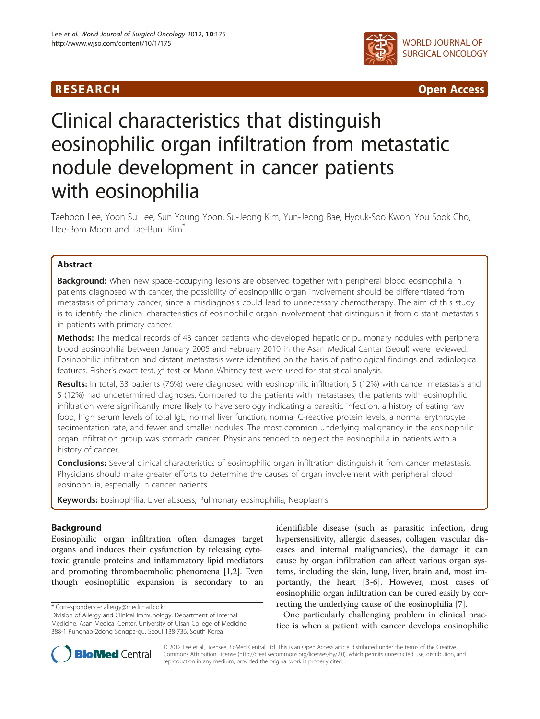# R E S EAR CH Open Access



# Clinical characteristics that distinguish eosinophilic organ infiltration from metastatic nodule development in cancer patients with eosinophilia

Taehoon Lee, Yoon Su Lee, Sun Young Yoon, Su-Jeong Kim, Yun-Jeong Bae, Hyouk-Soo Kwon, You Sook Cho, Hee-Bom Moon and Tae-Bum Kim<sup>\*</sup>

# Abstract

Background: When new space-occupying lesions are observed together with peripheral blood eosinophilia in patients diagnosed with cancer, the possibility of eosinophilic organ involvement should be differentiated from metastasis of primary cancer, since a misdiagnosis could lead to unnecessary chemotherapy. The aim of this study is to identify the clinical characteristics of eosinophilic organ involvement that distinguish it from distant metastasis in patients with primary cancer.

**Methods:** The medical records of 43 cancer patients who developed hepatic or pulmonary nodules with peripheral blood eosinophilia between January 2005 and February 2010 in the Asan Medical Center (Seoul) were reviewed. Eosinophilic infiltration and distant metastasis were identified on the basis of pathological findings and radiological features. Fisher's exact test,  $\chi^2$  test or Mann-Whitney test were used for statistical analysis.

Results: In total, 33 patients (76%) were diagnosed with eosinophilic infiltration, 5 (12%) with cancer metastasis and 5 (12%) had undetermined diagnoses. Compared to the patients with metastases, the patients with eosinophilic infiltration were significantly more likely to have serology indicating a parasitic infection, a history of eating raw food, high serum levels of total IgE, normal liver function, normal C-reactive protein levels, a normal erythrocyte sedimentation rate, and fewer and smaller nodules. The most common underlying malignancy in the eosinophilic organ infiltration group was stomach cancer. Physicians tended to neglect the eosinophilia in patients with a history of cancer.

Conclusions: Several clinical characteristics of eosinophilic organ infiltration distinguish it from cancer metastasis. Physicians should make greater efforts to determine the causes of organ involvement with peripheral blood eosinophilia, especially in cancer patients.

Keywords: Eosinophilia, Liver abscess, Pulmonary eosinophilia, Neoplasms

# Background

Eosinophilic organ infiltration often damages target organs and induces their dysfunction by releasing cytotoxic granule proteins and inflammatory lipid mediators and promoting thromboembolic phenomena [[1,2\]](#page-5-0). Even though eosinophilic expansion is secondary to an

identifiable disease (such as parasitic infection, drug hypersensitivity, allergic diseases, collagen vascular diseases and internal malignancies), the damage it can cause by organ infiltration can affect various organ systems, including the skin, lung, liver, brain and, most importantly, the heart [\[3](#page-5-0)-[6\]](#page-5-0). However, most cases of eosinophilic organ infiltration can be cured easily by correcting the underlying cause of the eosinophilia [[7\]](#page-5-0).

One particularly challenging problem in clinical practice is when a patient with cancer develops eosinophilic



© 2012 Lee et al.; licensee BioMed Central Ltd. This is an Open Access article distributed under the terms of the Creative Commons Attribution License [\(http://creativecommons.org/licenses/by/2.0\)](http://creativecommons.org/licenses/by/2.0), which permits unrestricted use, distribution, and reproduction in any medium, provided the original work is properly cited.

<sup>\*</sup> Correspondence: [allergy@medimail.co.kr](mailto:allergy@medimail.co.kr)

Division of Allergy and Clinical Immunology, Department of Internal Medicine, Asan Medical Center, University of Ulsan College of Medicine, 388-1 Pungnap-2dong Songpa-gu, Seoul 138-736, South Korea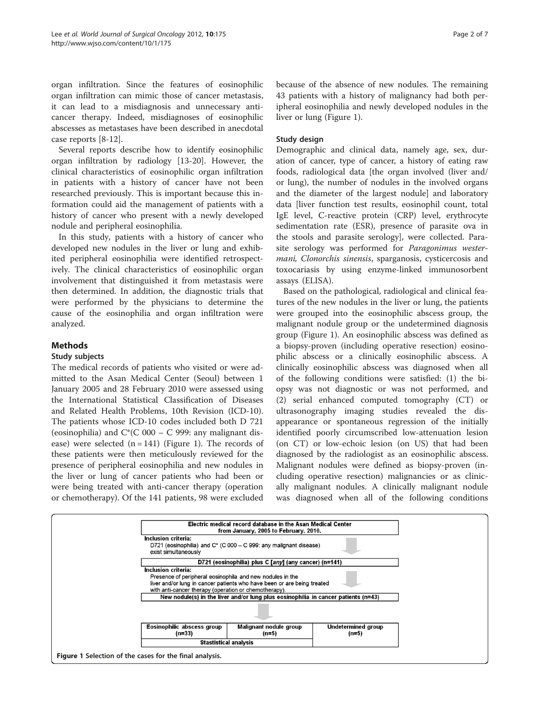organ infiltration. Since the features of eosinophilic organ infiltration can mimic those of cancer metastasis, it can lead to a misdiagnosis and unnecessary anticancer therapy. Indeed, misdiagnoses of eosinophilic abscesses as metastases have been described in anecdotal case reports [[8](#page-5-0)[-12](#page-6-0)].

Several reports describe how to identify eosinophilic organ infiltration by radiology [[13-20\]](#page-6-0). However, the clinical characteristics of eosinophilic organ infiltration in patients with a history of cancer have not been researched previously. This is important because this information could aid the management of patients with a history of cancer who present with a newly developed nodule and peripheral eosinophilia.

In this study, patients with a history of cancer who developed new nodules in the liver or lung and exhibited peripheral eosinophilia were identified retrospectively. The clinical characteristics of eosinophilic organ involvement that distinguished it from metastasis were then determined. In addition, the diagnostic trials that were performed by the physicians to determine the cause of the eosinophilia and organ infiltration were analyzed.

# Methods

### Study subjects

The medical records of patients who visited or were admitted to the Asan Medical Center (Seoul) between 1 January 2005 and 28 February 2010 were assessed using the International Statistical Classification of Diseases and Related Health Problems, 10th Revision (ICD-10). The patients whose ICD-10 codes included both D 721 (eosinophilia) and  $C^*(C \t000 - C \t999)$ : any malignant disease) were selected  $(n = 141)$  (Figure 1). The records of these patients were then meticulously reviewed for the presence of peripheral eosinophilia and new nodules in the liver or lung of cancer patients who had been or were being treated with anti-cancer therapy (operation or chemotherapy). Of the 141 patients, 98 were excluded

### Study design

Demographic and clinical data, namely age, sex, duration of cancer, type of cancer, a history of eating raw foods, radiological data [the organ involved (liver and/ or lung), the number of nodules in the involved organs and the diameter of the largest nodule] and laboratory data [liver function test results, eosinophil count, total IgE level, C-reactive protein (CRP) level, erythrocyte sedimentation rate (ESR), presence of parasite ova in the stools and parasite serology], were collected. Parasite serology was performed for Paragonimus westermani, Clonorchis sinensis, sparganosis, cysticercosis and toxocariasis by using enzyme-linked immunosorbent assays (ELISA).

Based on the pathological, radiological and clinical features of the new nodules in the liver or lung, the patients were grouped into the eosinophilic abscess group, the malignant nodule group or the undetermined diagnosis group (Figure 1). An eosinophilic abscess was defined as a biopsy-proven (including operative resection) eosinophilic abscess or a clinically eosinophilic abscess. A clinically eosinophilic abscess was diagnosed when all of the following conditions were satisfied: (1) the biopsy was not diagnostic or was not performed, and (2) serial enhanced computed tomography (CT) or ultrasonography imaging studies revealed the disappearance or spontaneous regression of the initially identified poorly circumscribed low-attenuation lesion (on CT) or low-echoic lesion (on US) that had been diagnosed by the radiologist as an eosinophilic abscess. Malignant nodules were defined as biopsy-proven (including operative resection) malignancies or as clinically malignant nodules. A clinically malignant nodule was diagnosed when all of the following conditions

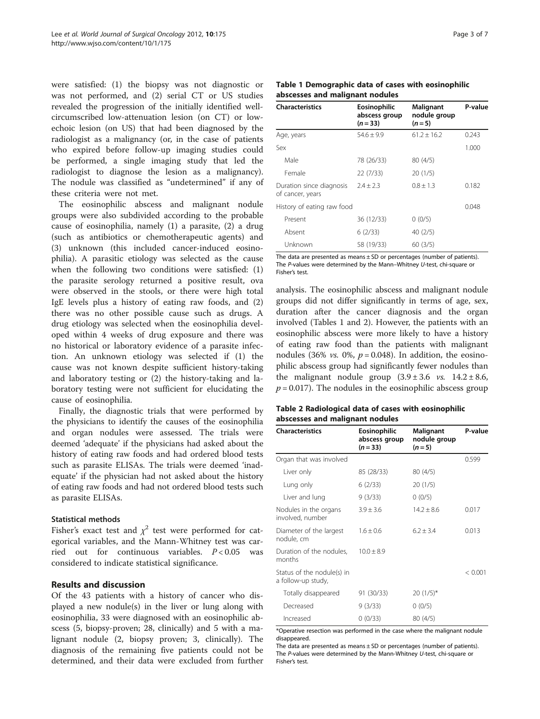<span id="page-2-0"></span>were satisfied: (1) the biopsy was not diagnostic or was not performed, and (2) serial CT or US studies revealed the progression of the initially identified wellcircumscribed low-attenuation lesion (on CT) or lowechoic lesion (on US) that had been diagnosed by the radiologist as a malignancy (or, in the case of patients who expired before follow-up imaging studies could be performed, a single imaging study that led the radiologist to diagnose the lesion as a malignancy). The nodule was classified as "undetermined" if any of these criteria were not met.

The eosinophilic abscess and malignant nodule groups were also subdivided according to the probable cause of eosinophilia, namely (1) a parasite, (2) a drug (such as antibiotics or chemotherapeutic agents) and (3) unknown (this included cancer-induced eosinophilia). A parasitic etiology was selected as the cause when the following two conditions were satisfied: (1) the parasite serology returned a positive result, ova were observed in the stools, or there were high total IgE levels plus a history of eating raw foods, and (2) there was no other possible cause such as drugs. A drug etiology was selected when the eosinophilia developed within 4 weeks of drug exposure and there was no historical or laboratory evidence of a parasite infection. An unknown etiology was selected if (1) the cause was not known despite sufficient history-taking and laboratory testing or (2) the history-taking and laboratory testing were not sufficient for elucidating the cause of eosinophilia.

Finally, the diagnostic trials that were performed by the physicians to identify the causes of the eosinophilia and organ nodules were assessed. The trials were deemed 'adequate' if the physicians had asked about the history of eating raw foods and had ordered blood tests such as parasite ELISAs. The trials were deemed 'inadequate' if the physician had not asked about the history of eating raw foods and had not ordered blood tests such as parasite ELISAs.

#### Statistical methods

Fisher's exact test and  $\chi^2$  test were performed for categorical variables, and the Mann-Whitney test was carried out for continuous variables.  $P < 0.05$  was considered to indicate statistical significance.

#### Results and discussion

Of the 43 patients with a history of cancer who displayed a new nodule(s) in the liver or lung along with eosinophilia, 33 were diagnosed with an eosinophilic abscess (5, biopsy-proven; 28, clinically) and 5 with a malignant nodule (2, biopsy proven; 3, clinically). The diagnosis of the remaining five patients could not be determined, and their data were excluded from further

| <b>Characteristics</b>                       | Eosinophilic<br>abscess group<br>$(n=33)$ | Malignant<br>nodule group<br>$(n=5)$ | P-value |
|----------------------------------------------|-------------------------------------------|--------------------------------------|---------|
| Age, years                                   | $54.6 + 9.9$                              | $61.2 + 16.2$                        | 0.243   |
| Sex                                          |                                           |                                      | 1.000   |
| Male                                         | 78 (26/33)                                | 80(4/5)                              |         |
| Female                                       | 22(7/33)                                  | 20(1/5)                              |         |
| Duration since diagnosis<br>of cancer, years | $7.4 + 7.3$                               | $0.8 \pm 1.3$                        | 0.182   |
| History of eating raw food                   |                                           |                                      | 0.048   |
| Present                                      | 36 (12/33)                                | 0(0/5)                               |         |
| Absent                                       | 6(2/33)                                   | 40(2/5)                              |         |
| Unknown                                      | 58 (19/33)                                | 60(3/5)                              |         |

The data are presented as means  $\pm$  SD or percentages (number of patients). The P-values were determined by the Mann–Whitney U-test, chi-square or Fisher's test.

analysis. The eosinophilic abscess and malignant nodule groups did not differ significantly in terms of age, sex, duration after the cancer diagnosis and the organ involved (Tables 1 and 2). However, the patients with an eosinophilic abscess were more likely to have a history of eating raw food than the patients with malignant nodules (36% *vs.* 0%,  $p = 0.048$ ). In addition, the eosinophilic abscess group had significantly fewer nodules than the malignant nodule group  $(3.9 \pm 3.6 \text{ v}s. 14.2 \pm 8.6,$  $p = 0.017$ ). The nodules in the eosinophilic abscess group

|  |                                 |  |  | Table 2 Radiological data of cases with eosinophilic |  |
|--|---------------------------------|--|--|------------------------------------------------------|--|
|  | abscesses and malignant nodules |  |  |                                                      |  |

| <b>Characteristics</b>                           | Eosinophilic<br>abscess group<br>$(n=33)$ | Malignant<br>nodule group<br>$(n=5)$ | P-value |
|--------------------------------------------------|-------------------------------------------|--------------------------------------|---------|
| Organ that was involved                          |                                           |                                      | 0.599   |
| Liver only                                       | 85 (28/33)                                | 80(4/5)                              |         |
| Lung only                                        | 6(2/33)                                   | 20(1/5)                              |         |
| Liver and lung                                   | 9(3/33)                                   | 0(0/5)                               |         |
| Nodules in the organs<br>involved, number        | $3.9 \pm 3.6$                             | $14.2 + 8.6$                         | 0.017   |
| Diameter of the largest<br>nodule, cm            | $1.6 \pm 0.6$                             | $6.2 \pm 3.4$                        | 0.013   |
| Duration of the nodules,<br>months               | $10.0 \pm 8.9$                            |                                      |         |
| Status of the nodule(s) in<br>a follow-up study, |                                           |                                      | < 0.001 |
| Totally disappeared                              | 91 (30/33)                                | $20(1/5)$ *                          |         |
| Decreased                                        | 9(3/33)                                   | 0(0/5)                               |         |
| Increased                                        | 0(0/33)                                   | 80(4/5)                              |         |

\*Operative resection was performed in the case where the malignant nodule disappeared.

The data are presented as means  $\pm$  SD or percentages (number of patients). The  $P$ -values were determined by the Mann-Whitney  $U$ -test, chi-square or Fisher's test.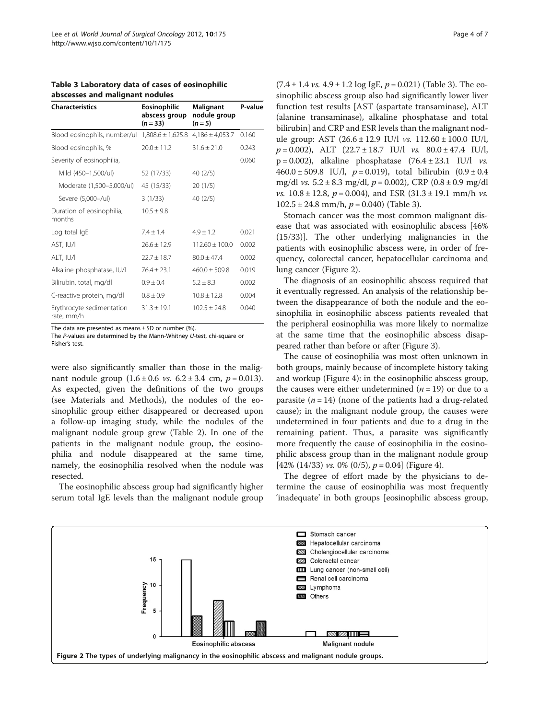Table 3 Laboratory data of cases of eosinophilic abscesses and malignant nodules

| <b>Characteristics</b>                  | Eosinophilic<br>abscess group<br>$(n=33)$ | Malignant<br>nodule group<br>$(n=5)$ | P-value |
|-----------------------------------------|-------------------------------------------|--------------------------------------|---------|
| Blood eosinophils, number/ul            | $1,808.6 \pm 1,625.8$ $4,186 \pm 4,053.7$ |                                      | 0.160   |
| Blood eosinophils, %                    | $20.0 + 11.2$                             | $31.6 + 21.0$                        | 0.243   |
| Severity of eosinophilia,               |                                           |                                      | 0.060   |
| Mild (450-1,500/ul)                     | 52 (17/33)                                | 40(2/5)                              |         |
| Moderate (1,500-5,000/ul)               | 45 (15/33)                                | 20(1/5)                              |         |
| Severe (5,000-/ul)                      | 3(1/33)                                   | 40(2/5)                              |         |
| Duration of eosinophilia,<br>months     | $10.5 \pm 9.8$                            |                                      |         |
| Log total IgE                           | $7.4 + 1.4$                               | $4.9 + 1.2$                          | 0.021   |
| AST, IU/I                               | $26.6 \pm 12.9$                           | $112.60 \pm 100.0$                   | 0.002   |
| ALT, IU/I                               | $22.7 + 18.7$                             | $80.0 + 47.4$                        | 0.002   |
| Alkaline phosphatase, IU/I              | $76.4 \pm 23.1$                           | $460.0 + 509.8$                      | 0.019   |
| Bilirubin, total, mg/dl                 | $0.9 \pm 0.4$                             | $5.2 + 8.3$                          | 0.002   |
| C-reactive protein, mg/dl               | $0.8 \pm 0.9$                             | $10.8 \pm 12.8$                      | 0.004   |
| Erythrocyte sedimentation<br>rate, mm/h | $31.3 \pm 19.1$                           | $102.5 + 24.8$                       | 0.040   |

The data are presented as means  $\pm$  SD or number (%).

The P-values are determined by the Mann-Whitney U-test, chi-square or Fisher's test.

were also significantly smaller than those in the malignant nodule group  $(1.6 \pm 0.6 \text{ vs. } 6.2 \pm 3.4 \text{ cm}, p = 0.013).$ As expected, given the definitions of the two groups (see Materials and Methods), the nodules of the eosinophilic group either disappeared or decreased upon a follow-up imaging study, while the nodules of the malignant nodule group grew (Table [2](#page-2-0)). In one of the patients in the malignant nodule group, the eosinophilia and nodule disappeared at the same time, namely, the eosinophilia resolved when the nodule was resected.

The eosinophilic abscess group had significantly higher serum total IgE levels than the malignant nodule group  $(7.4 \pm 1.4 \text{ vs. } 4.9 \pm 1.2 \text{ log IgE}, p = 0.021)$  (Table 3). The eosinophilic abscess group also had significantly lower liver function test results [AST (aspartate transaminase), ALT (alanine transaminase), alkaline phosphatase and total bilirubin] and CRP and ESR levels than the malignant nodule group: AST (26.6 ± 12.9 IU/l vs. 112.60 ± 100.0 IU/l,  $p = 0.002$ ), ALT  $(22.7 \pm 18.7 \text{ IU/l} \text{ vs. } 80.0 \pm 47.4 \text{ IU/l}$ ,  $p = 0.002$ ), alkaline phosphatase  $(76.4 \pm 23.1 \text{ IU/l} \text{ vs.}$ 460.0 ± 509.8 IU/l,  $p = 0.019$ ), total bilirubin  $(0.9 \pm 0.4$ mg/dl vs.  $5.2 \pm 8.3$  mg/dl,  $p = 0.002$ ), CRP  $(0.8 \pm 0.9$  mg/dl *vs.*  $10.8 \pm 12.8$ ,  $p = 0.004$ ), and ESR  $(31.3 \pm 19.1 \text{ mm/h} \text{ vs.})$  $102.5 \pm 24.8$  mm/h,  $p = 0.040$ ) (Table 3).

Stomach cancer was the most common malignant disease that was associated with eosinophilic abscess [46% (15/33)]. The other underlying malignancies in the patients with eosinophilic abscess were, in order of frequency, colorectal cancer, hepatocellular carcinoma and lung cancer (Figure 2).

The diagnosis of an eosinophilic abscess required that it eventually regressed. An analysis of the relationship between the disappearance of both the nodule and the eosinophilia in eosinophilic abscess patients revealed that the peripheral eosinophilia was more likely to normalize at the same time that the eosinophilic abscess disappeared rather than before or after (Figure [3](#page-4-0)).

The cause of eosinophilia was most often unknown in both groups, mainly because of incomplete history taking and workup (Figure [4](#page-4-0)): in the eosinophilic abscess group, the causes were either undetermined  $(n = 19)$  or due to a parasite  $(n = 14)$  (none of the patients had a drug-related cause); in the malignant nodule group, the causes were undetermined in four patients and due to a drug in the remaining patient. Thus, a parasite was significantly more frequently the cause of eosinophilia in the eosinophilic abscess group than in the malignant nodule group [42% (14/33) *vs.* 0% (0/5),  $p = 0.04$ ] (Figure [4](#page-4-0)).

The degree of effort made by the physicians to determine the cause of eosinophilia was most frequently 'inadequate' in both groups [eosinophilic abscess group,

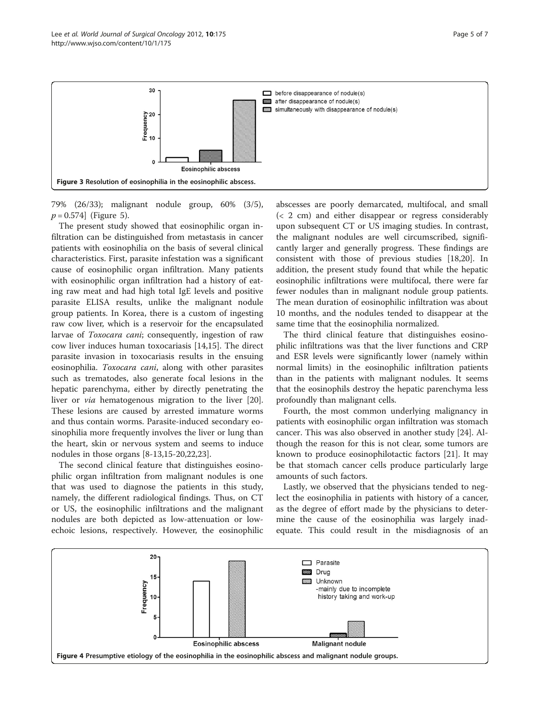79% (26/33); malignant nodule group, 60% (3/5),  $p = 0.574$  (Figure [5](#page-5-0)).

The present study showed that eosinophilic organ infiltration can be distinguished from metastasis in cancer patients with eosinophilia on the basis of several clinical characteristics. First, parasite infestation was a significant cause of eosinophilic organ infiltration. Many patients with eosinophilic organ infiltration had a history of eating raw meat and had high total IgE levels and positive parasite ELISA results, unlike the malignant nodule group patients. In Korea, there is a custom of ingesting raw cow liver, which is a reservoir for the encapsulated larvae of Toxocara cani; consequently, ingestion of raw cow liver induces human toxocariasis [\[14,15](#page-6-0)]. The direct parasite invasion in toxocariasis results in the ensuing eosinophilia. Toxocara cani, along with other parasites such as trematodes, also generate focal lesions in the hepatic parenchyma, either by directly penetrating the liver or via hematogenous migration to the liver [\[20](#page-6-0)]. These lesions are caused by arrested immature worms and thus contain worms. Parasite-induced secondary eosinophilia more frequently involves the liver or lung than the heart, skin or nervous system and seems to induce nodules in those organs [\[8](#page-5-0)-[13,15-20,22,23\]](#page-6-0).

The second clinical feature that distinguishes eosinophilic organ infiltration from malignant nodules is one that was used to diagnose the patients in this study, namely, the different radiological findings. Thus, on CT or US, the eosinophilic infiltrations and the malignant nodules are both depicted as low-attenuation or lowechoic lesions, respectively. However, the eosinophilic

abscesses are poorly demarcated, multifocal, and small (< 2 cm) and either disappear or regress considerably upon subsequent CT or US imaging studies. In contrast, the malignant nodules are well circumscribed, significantly larger and generally progress. These findings are consistent with those of previous studies [[18](#page-6-0),[20](#page-6-0)]. In addition, the present study found that while the hepatic eosinophilic infiltrations were multifocal, there were far fewer nodules than in malignant nodule group patients. The mean duration of eosinophilic infiltration was about 10 months, and the nodules tended to disappear at the same time that the eosinophilia normalized.

The third clinical feature that distinguishes eosinophilic infiltrations was that the liver functions and CRP and ESR levels were significantly lower (namely within normal limits) in the eosinophilic infiltration patients than in the patients with malignant nodules. It seems that the eosinophils destroy the hepatic parenchyma less profoundly than malignant cells.

Fourth, the most common underlying malignancy in patients with eosinophilic organ infiltration was stomach cancer. This was also observed in another study [\[24](#page-6-0)]. Although the reason for this is not clear, some tumors are known to produce eosinophilotactic factors [[21](#page-6-0)]. It may be that stomach cancer cells produce particularly large amounts of such factors.

Lastly, we observed that the physicians tended to neglect the eosinophilia in patients with history of a cancer, as the degree of effort made by the physicians to determine the cause of the eosinophilia was largely inadequate. This could result in the misdiagnosis of an



<span id="page-4-0"></span>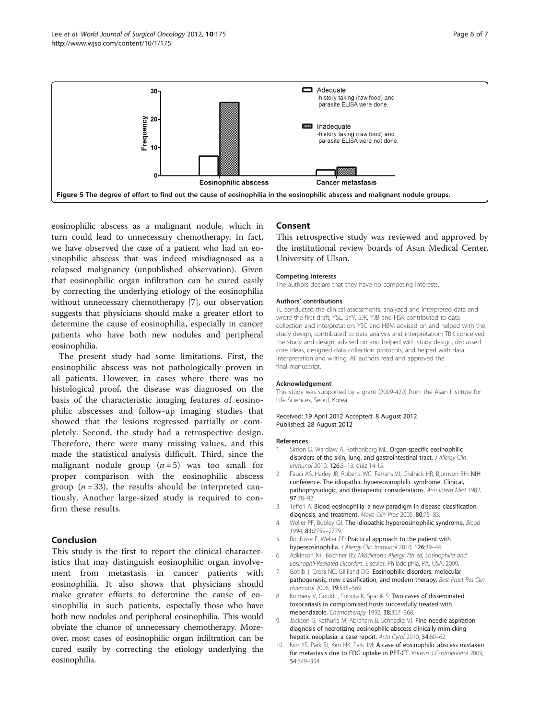<span id="page-5-0"></span>Lee et al. World Journal of Surgical Oncology 2012, 10:175 http://www.wjso.com/content/10/1/175



eosinophilic abscess as a malignant nodule, which in turn could lead to unnecessary chemotherapy. In fact, we have observed the case of a patient who had an eosinophilic abscess that was indeed misdiagnosed as a relapsed malignancy (unpublished observation). Given that eosinophilic organ infiltration can be cured easily by correcting the underlying etiology of the eosinophilia without unnecessary chemotherapy [7], our observation suggests that physicians should make a greater effort to determine the cause of eosinophilia, especially in cancer patients who have both new nodules and peripheral eosinophilia.

The present study had some limitations. First, the eosinophilic abscess was not pathologically proven in all patients. However, in cases where there was no histological proof, the disease was diagnosed on the basis of the characteristic imaging features of eosinophilic abscesses and follow-up imaging studies that showed that the lesions regressed partially or completely. Second, the study had a retrospective design. Therefore, there were many missing values, and this made the statistical analysis difficult. Third, since the malignant nodule group  $(n=5)$  was too small for proper comparison with the eosinophilic abscess group  $(n=33)$ , the results should be interpreted cautiously. Another large-sized study is required to confirm these results.

## Conclusion

This study is the first to report the clinical characteristics that may distinguish eosinophilic organ involvement from metastasis in cancer patients with eosinophilia. It also shows that physicians should make greater efforts to determine the cause of eosinophilia in such patients, especially those who have both new nodules and peripheral eosinophilia. This would obviate the chance of unnecessary chemotherapy. Moreover, most cases of eosinophilic organ infiltration can be cured easily by correcting the etiology underlying the eosinophilia.

### Consent

This retrospective study was reviewed and approved by the institutional review boards of Asan Medical Center, University of Ulsan.

#### Competing interests

The authors declare that they have no competing interests.

#### Authors' contributions

TL conducted the clinical assessments, analyzed and interpreted data and wrote the first draft; YSL, SYY, SJK, YJB and HSK contributed to data collection and interpretation; YSC and HBM advised on and helped with the study design, contributed to data analysis and interpretation; TBK conceived the study and design, advised on and helped with study design, discussed core ideas, designed data collection protocols, and helped with data interpretation and writing. All authors read and approved the final manuscript.

#### Acknowledgement

This study was supported by a grant (2009-420) from the Asan Institute for Life Sciences, Seoul, Korea.

Received: 19 April 2012 Accepted: 8 August 2012 Published: 28 August 2012

#### References

- 1. Simon D, Wardlaw A, Rothenberg ME: Organ-specific eosinophilic disorders of the skin, lung, and gastrointestinal tract. J Allergy Clin Immunol 2010, 126:3–13. quiz 14-15.
- 2. Fauci AS, Harley JB, Roberts WC, Ferrans VJ, Gralnick HR, Bjornson BH: NIH conference. The idiopathic hypereosinophilic syndrome. Clinical, pathophysiologic, and therapeutic considerations. Ann Intern Med 1982, 97:78–92.
- 3. Tefferi A: Blood eosinophilia: a new paradigm in disease classification, diagnosis, and treatment. Mayo Clin Proc 2005, 80:75-83.
- 4. Weller PF, Bubley GJ: The idiopathic hypereosinophilic syndrome. Blood 1994, 83:2759–2779.
- 5. Roufosse F, Weller PF: Practical approach to the patient with hypereosinophilia. J Allergy Clin Immunol 2010, 126:39–44.
- 6. Adkinson NF, Bochner BS: Middleton's Allergy 7th ed, Eosinophilia and Eosinophil-Realated Disorders. Elsevier: Philadelphia, PA, USA; 2009.
- 7. Gotlib J, Cross NC, Gilliland DG: Eosinophilic disorders: molecular pathogenesis, new classification, and modern therapy. Best Pract Res Clin Haematol 2006, 19:535–569.
- 8. Krcmery V, Gould I, Sobota K, Spanik S: Two cases of disseminated toxocariasis in compromised hosts successfully treated with mebendazole. Chemotherapy 1992, 38:367–368.
- 9. Jackson G, Kathuria M, Abraham B, Schnadig VJ: Fine needle aspiration diagnosis of necrotizing eosinophilic abscess clinically mimicking hepatic neoplasia: a case report. Acta Cytol 2010, 54:60-62
- 10. Kim YS, Park SJ, Kim HK, Park JM: A case of eosinophilic abscess mistaken for metastasis due to FDG uptake in PET-CT. Korean J Gastroenterol 2009, 54:349–354.